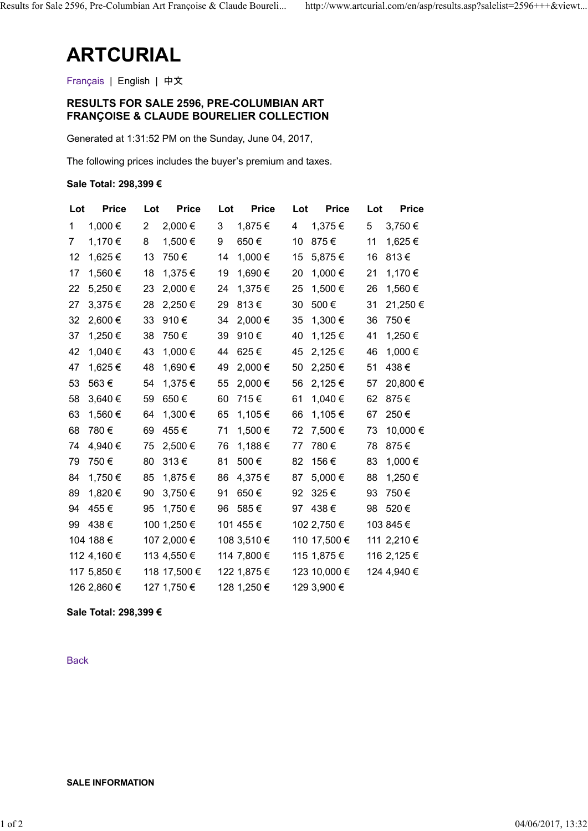# ARTCURIAL

## RESULTS FOR SALE 2596, PRE-COLUMBIAN ART FRANÇOISE & CLAUDE BOURELIER COLLECTION

### Sale Total: 298,399 €

|             | <b>ARTCURIAL</b>         |                           |                                                                                                       |                          |                       |                   |
|-------------|--------------------------|---------------------------|-------------------------------------------------------------------------------------------------------|--------------------------|-----------------------|-------------------|
|             | Français   English   中文  |                           |                                                                                                       |                          |                       |                   |
|             |                          |                           | <b>RESULTS FOR SALE 2596, PRE-COLUMBIAN ART</b><br><b>FRANÇOISE &amp; CLAUDE BOURELIER COLLECTION</b> |                          |                       |                   |
|             |                          |                           | Generated at 1:31:52 PM on the Sunday, June 04, 2017,                                                 |                          |                       |                   |
|             |                          |                           | The following prices includes the buyer's premium and taxes.                                          |                          |                       |                   |
|             | Sale Total: 298,399 €    |                           |                                                                                                       |                          |                       |                   |
| Lot         | <b>Price</b>             | Lot<br><b>Price</b>       | <b>Price</b><br>Lot                                                                                   | <b>Price</b><br>Lot      | Lot<br><b>Price</b>   |                   |
| $\mathbf 1$ | 1,000 €                  | 2 2,000 €                 | 3 $1,875 \in$                                                                                         | 4 $1,375 \in$            | 5 3,750 €             |                   |
|             | 7 1,170 €                | 8 1,500 €                 | 650€<br>9                                                                                             | 10 875€                  | 11 1,625 €            |                   |
|             | 12 1,625 €               | 13 750€                   | 14 1,000 €                                                                                            | 15 5,875 €               | 16 813€               |                   |
|             | 17 1,560 €               | 18 1,375 €                | 19 1,690 €                                                                                            | 20 1,000 €               | 21 1,170 €            |                   |
|             | 22 5,250 €               | 23 2,000 €                | 24 1,375 €                                                                                            | 25 1,500 €               | 26 1,560 €            |                   |
|             | 27 3,375 €               | 28 2,250 €                | 29 813€                                                                                               | 30 500€                  | 31 21,250 €           |                   |
|             | 32 2,600 €<br>37 1,250 € | 33 910€<br>38 750€        | 34 2,000 €<br>39 910€                                                                                 | 35 1,300 €<br>40 1,125 € | 36 750€<br>41 1,250 € |                   |
|             | 42 1,040 €               | 43 1,000 €                | 44 625€                                                                                               | 45 2,125 €               | 46 1,000 €            |                   |
|             | 47 1,625 €               | 48 1,690 €                | 49 2,000 €                                                                                            | 50 2,250 €               | 51 438€               |                   |
|             | 53 563€                  | 54 1,375 €                | 55 2,000 €                                                                                            | 56 2,125 €               | 57 20,800 €           |                   |
|             | 58 3,640 €               | 650€<br>59                | 60 715€                                                                                               | 61 1,040 €               | 62 875€               |                   |
|             | 63 1,560 €               | 64 1,300 €                | 65 1,105€                                                                                             | 66 1,105 €               | 67 250€               |                   |
|             | 68 780€                  | 69 455€                   | 71 1,500 €                                                                                            | 72 7,500 €               | 73 10,000 €           |                   |
|             | 74 4,940 €               | 75 2,500 €                | 76 1,188 €                                                                                            | 77 780€                  | 78 875€               |                   |
|             | 79 750€                  | 80 313€                   | 81 500€                                                                                               | 82 156€                  | 83 1,000 €            |                   |
|             | 84 1,750 €               | 85 1,875 €                | 86 4,375 €                                                                                            | 87 5,000 €               | 88 1,250 €            |                   |
|             | 89 1,820 €               | 90 3,750 €                | 91 650€                                                                                               | 92 325€                  | 93 750€               |                   |
|             | 94 455€<br>99 438€       | 95 1,750 €<br>100 1,250 € | 96 585€<br>101 455 €                                                                                  | 97 438€<br>102 2,750 €   | 98 520€<br>103 845 €  |                   |
|             | 104 188 €                | 107 2,000 €               | 108 3,510 €                                                                                           | 110 17,500 €             | 111 2,210 €           |                   |
|             | 112 4,160 €              | 113 4,550 €               | 114 7,800 €                                                                                           | 115 1,875 €              | 116 2,125 €           |                   |
|             | 117 5,850 €              | 118 17,500 €              | 122 1,875 €                                                                                           | 123 10,000 €             | 124 4,940 €           |                   |
|             | 126 2,860 €              | 127 1,750 €               | 128 1,250 €                                                                                           | 129 3,900 €              |                       |                   |
|             | Sale Total: 298,399 €    |                           |                                                                                                       |                          |                       |                   |
|             |                          |                           |                                                                                                       |                          |                       |                   |
| <b>Back</b> |                          |                           |                                                                                                       |                          |                       |                   |
|             |                          |                           |                                                                                                       |                          |                       |                   |
|             |                          |                           |                                                                                                       |                          |                       |                   |
|             |                          |                           |                                                                                                       |                          |                       |                   |
|             |                          |                           |                                                                                                       |                          |                       |                   |
|             | <b>SALE INFORMATION</b>  |                           |                                                                                                       |                          |                       |                   |
|             |                          |                           |                                                                                                       |                          |                       |                   |
|             |                          |                           |                                                                                                       |                          |                       | 04/06/2017, 13:32 |